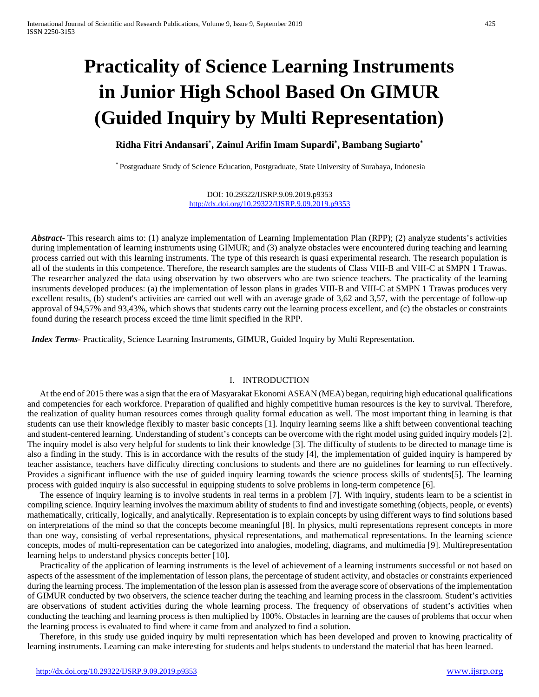# **Practicality of Science Learning Instruments in Junior High School Based On GIMUR (Guided Inquiry by Multi Representation)**

**Ridha Fitri Andansari\* , Zainul Arifin Imam Supardi\* , Bambang Sugiarto\***

\* Postgraduate Study of Science Education, Postgraduate, State University of Surabaya, Indonesia

DOI: 10.29322/IJSRP.9.09.2019.p9353 <http://dx.doi.org/10.29322/IJSRP.9.09.2019.p9353>

*Abstract***-** This research aims to: (1) analyze implementation of Learning Implementation Plan (RPP); (2) analyze students's activities during implementation of learning instruments using GIMUR; and (3) analyze obstacles were encountered during teaching and learning process carried out with this learning instruments. The type of this research is quasi experimental research. The research population is all of the students in this competence. Therefore, the research samples are the students of Class VIII-B and VIII-C at SMPN 1 Trawas. The researcher analyzed the data using observation by two observers who are two science teachers. The practicality of the learning insruments developed produces: (a) the implementation of lesson plans in grades VIII-B and VIII-C at SMPN 1 Trawas produces very excellent results, (b) student's activities are carried out well with an average grade of 3,62 and 3,57, with the percentage of follow-up approval of 94,57% and 93,43%, which shows that students carry out the learning process excellent, and (c) the obstacles or constraints found during the research process exceed the time limit specified in the RPP.

*Index Terms*- Practicality, Science Learning Instruments, GIMUR, Guided Inquiry by Multi Representation.

### I. INTRODUCTION

At the end of 2015 there was a sign that the era of Masyarakat Ekonomi ASEAN (MEA) began, requiring high educational qualifications and competencies for each workforce. Preparation of qualified and highly competitive human resources is the key to survival. Therefore, the realization of quality human resources comes through quality formal education as well. The most important thing in learning is that students can use their knowledge flexibly to master basic concepts [1]. Inquiry learning seems like a shift between conventional teaching and student-centered learning. Understanding of student's concepts can be overcome with the right model using guided inquiry models [2]. The inquiry model is also very helpful for students to link their knowledge [3]. The difficulty of students to be directed to manage time is also a finding in the study. This is in accordance with the results of the study [4], the implementation of guided inquiry is hampered by teacher assistance, teachers have difficulty directing conclusions to students and there are no guidelines for learning to run effectively. Provides a significant influence with the use of guided inquiry learning towards the science process skills of students[5]. The learning process with guided inquiry is also successful in equipping students to solve problems in long-term competence [6].

The essence of inquiry learning is to involve students in real terms in a problem [7]. With inquiry, students learn to be a scientist in compiling science. Inquiry learning involves the maximum ability of students to find and investigate something (objects, people, or events) mathematically, critically, logically, and analytically. Representation is to explain concepts by using different ways to find solutions based on interpretations of the mind so that the concepts become meaningful [8]. In physics, multi representations represent concepts in more than one way, consisting of verbal representations, physical representations, and mathematical representations. In the learning science concepts, modes of multi-representation can be categorized into analogies, modeling, diagrams, and multimedia [9]. Multirepresentation learning helps to understand physics concepts better [10].

Practicality of the application of learning instruments is the level of achievement of a learning instruments successful or not based on aspects of the assessment of the implementation of lesson plans, the percentage of student activity, and obstacles or constraints experienced during the learning process. The implementation of the lesson plan is assessed from the average score of observations of the implementation of GIMUR conducted by two observers, the science teacher during the teaching and learning process in the classroom. Student's activities are observations of student activities during the whole learning process. The frequency of observations of student's activities when conducting the teaching and learning process is then multiplied by 100%. Obstacles in learning are the causes of problems that occur when the learning process is evaluated to find where it came from and analyzed to find a solution.

Therefore, in this study use guided inquiry by multi representation which has been developed and proven to knowing practicality of learning instruments. Learning can make interesting for students and helps students to understand the material that has been learned.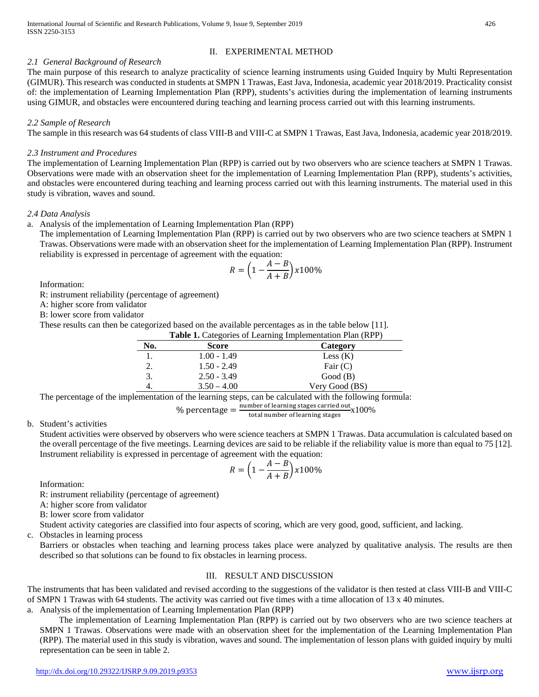## II. EXPERIMENTAL METHOD

## *2.1 General Background of Research*

The main purpose of this research to analyze practicality of science learning instruments using Guided Inquiry by Multi Representation (GIMUR). This research was conducted in students at SMPN 1 Trawas, East Java, Indonesia, academic year 2018/2019. Practicality consist of: the implementation of Learning Implementation Plan (RPP), students's activities during the implementation of learning instruments using GIMUR, and obstacles were encountered during teaching and learning process carried out with this learning instruments.

# *2.2 Sample of Research*

The sample in this research was 64 students of class VIII-B and VIII-C at SMPN 1 Trawas, East Java, Indonesia, academic year 2018/2019.

## *2.3 Instrument and Procedures*

The implementation of Learning Implementation Plan (RPP) is carried out by two observers who are science teachers at SMPN 1 Trawas. Observations were made with an observation sheet for the implementation of Learning Implementation Plan (RPP), students's activities, and obstacles were encountered during teaching and learning process carried out with this learning instruments. The material used in this study is vibration, waves and sound.

## *2.4 Data Analysis*

a. Analysis of the implementation of Learning Implementation Plan (RPP)

The implementation of Learning Implementation Plan (RPP) is carried out by two observers who are two science teachers at SMPN 1 Trawas. Observations were made with an observation sheet for the implementation of Learning Implementation Plan (RPP). Instrument reliability is expressed in percentage of agreement with the equation:

$$
R = \left(1 - \frac{A - B}{A + B}\right) \times 100\%
$$

Information:

R: instrument reliability (percentage of agreement)

A: higher score from validator

B: lower score from validator

These results can then be categorized based on the available percentages as in the table below [11]. **Table 1.** Categories of Learning Implementation Plan (RPP)

|     | <b>Table 1.</b> Categories of Learning Implementation Plan (RPP) |                |  |  |  |
|-----|------------------------------------------------------------------|----------------|--|--|--|
| No. | <b>Score</b>                                                     | Category       |  |  |  |
|     | $1.00 - 1.49$                                                    | Less $(K)$     |  |  |  |
|     | $1.50 - 2.49$                                                    | Fair $(C)$     |  |  |  |
|     | $2.50 - 3.49$                                                    | Good(B)        |  |  |  |
|     | $3.50 - 4.00$                                                    | Very Good (BS) |  |  |  |

The percentage of the implementation of the learning steps, can be calculated with the following formula:

% percentage  $=\frac{\text{number of learning stages carried out}}{\text{total number of learning stages}} \times 100\%$ total number of learning stages

b. Student's activities

Student activities were observed by observers who were science teachers at SMPN 1 Trawas. Data accumulation is calculated based on the overall percentage of the five meetings. Learning devices are said to be reliable if the reliability value is more than equal to 75 [12]. Instrument reliability is expressed in percentage of agreement with the equation:

$$
R = \left(1 - \frac{A - B}{A + B}\right) \times 100\%
$$

Information:

R: instrument reliability (percentage of agreement)

A: higher score from validator

B: lower score from validator

Student activity categories are classified into four aspects of scoring, which are very good, good, sufficient, and lacking.

c. Obstacles in learning process

Barriers or obstacles when teaching and learning process takes place were analyzed by qualitative analysis. The results are then described so that solutions can be found to fix obstacles in learning process.

# III. RESULT AND DISCUSSION

The instruments that has been validated and revised according to the suggestions of the validator is then tested at class VIII-B and VIII-C of SMPN 1 Trawas with 64 students. The activity was carried out five times with a time allocation of 13 x 40 minutes.

a. Analysis of the implementation of Learning Implementation Plan (RPP)

The implementation of Learning Implementation Plan (RPP) is carried out by two observers who are two science teachers at SMPN 1 Trawas. Observations were made with an observation sheet for the implementation of the Learning Implementation Plan (RPP). The material used in this study is vibration, waves and sound. The implementation of lesson plans with guided inquiry by multi representation can be seen in table 2.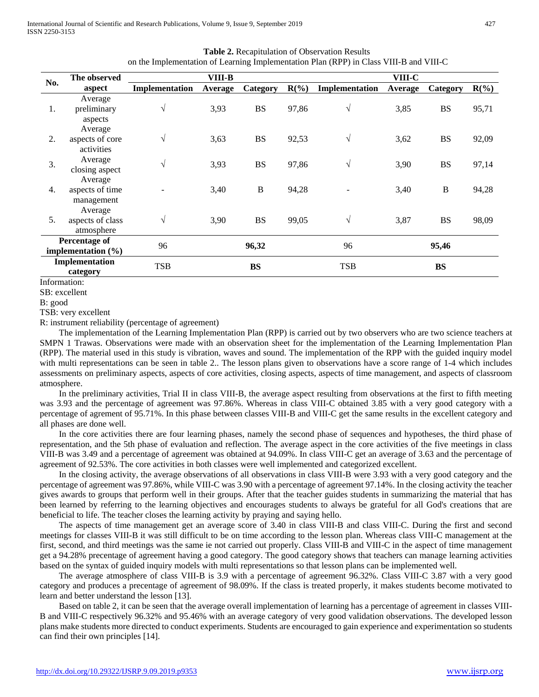|                                                | The observed                              |                | VIII-B  |              |         |                | VIII-C  |              |         |
|------------------------------------------------|-------------------------------------------|----------------|---------|--------------|---------|----------------|---------|--------------|---------|
| No.                                            | aspect                                    | Implementation | Average | Category     | $R(\%)$ | Implementation | Average | Category     | $R(\%)$ |
| 1.                                             | Average<br>preliminary<br>aspects         | $\sqrt{ }$     | 3,93    | <b>BS</b>    | 97,86   | $\sqrt{}$      | 3,85    | <b>BS</b>    | 95,71   |
| 2.                                             | Average<br>aspects of core<br>activities  | $\sqrt{ }$     | 3,63    | <b>BS</b>    | 92,53   | $\sqrt{}$      | 3,62    | <b>BS</b>    | 92,09   |
| 3.                                             | Average<br>closing aspect                 | $\sqrt{ }$     | 3,93    | <b>BS</b>    | 97,86   | $\sqrt{}$      | 3,90    | <b>BS</b>    | 97,14   |
| 4.                                             | Average<br>aspects of time<br>management  |                | 3,40    | $\, {\bf B}$ | 94,28   |                | 3,40    | $\, {\bf B}$ | 94,28   |
| 5.                                             | Average<br>aspects of class<br>atmosphere | $\sqrt{ }$     | 3,90    | <b>BS</b>    | 99,05   | $\sqrt{}$      | 3,87    | <b>BS</b>    | 98,09   |
| <b>Percentage of</b><br>implementation $(\% )$ |                                           | 96             |         | 96,32        |         | 96             |         | 95,46        |         |
| Implementation<br>category                     |                                           | <b>TSB</b>     |         | <b>BS</b>    |         | <b>TSB</b>     |         | <b>BS</b>    |         |

**Table 2.** Recapitulation of Observation Results on the Implementation of Learning Implementation Plan (RPP) in Class VIII-B and VIII-C

Information:

SB: excellent

B: good

TSB: very excellent

R: instrument reliability (percentage of agreement)

The implementation of the Learning Implementation Plan (RPP) is carried out by two observers who are two science teachers at SMPN 1 Trawas. Observations were made with an observation sheet for the implementation of the Learning Implementation Plan (RPP). The material used in this study is vibration, waves and sound. The implementation of the RPP with the guided inquiry model with multi representations can be seen in table 2.. The lesson plans given to observations have a score range of 1-4 which includes assessments on preliminary aspects, aspects of core activities, closing aspects, aspects of time management, and aspects of classroom atmosphere.

In the preliminary activities, Trial II in class VIII-B, the average aspect resulting from observations at the first to fifth meeting was 3.93 and the percentage of agreement was 97.86%. Whereas in class VIII-C obtained 3.85 with a very good category with a percentage of agrement of 95.71%. In this phase between classes VIII-B and VIII-C get the same results in the excellent category and all phases are done well.

In the core activities there are four learning phases, namely the second phase of sequences and hypotheses, the third phase of representation, and the 5th phase of evaluation and reflection. The average aspect in the core activities of the five meetings in class VIII-B was 3.49 and a percentage of agreement was obtained at 94.09%. In class VIII-C get an average of 3.63 and the percentage of agreement of 92.53%. The core activities in both classes were well implemented and categorized excellent.

In the closing activity, the average observations of all observations in class VIII-B were 3.93 with a very good category and the percentage of agreement was 97.86%, while VIII-C was 3.90 with a percentage of agreement 97.14%. In the closing activity the teacher gives awards to groups that perform well in their groups. After that the teacher guides students in summarizing the material that has been learned by referring to the learning objectives and encourages students to always be grateful for all God's creations that are beneficial to life. The teacher closes the learning activity by praying and saying hello.

The aspects of time management get an average score of 3.40 in class VIII-B and class VIII-C. During the first and second meetings for classes VIII-B it was still difficult to be on time according to the lesson plan. Whereas class VIII-C management at the first, second, and third meetings was the same ie not carried out properly. Class VIII-B and VIII-C in the aspect of time management get a 94.28% precentage of agreement having a good category. The good category shows that teachers can manage learning activities based on the syntax of guided inquiry models with multi representations so that lesson plans can be implemented well.

The average atmosphere of class VIII-B is 3.9 with a percentage of agreement 96.32%. Class VIII-C 3.87 with a very good category and produces a precentage of agreement of 98.09%. If the class is treated properly, it makes students become motivated to learn and better understand the lesson [13].

Based on table 2, it can be seen that the average overall implementation of learning has a percentage of agreement in classes VIII-B and VIII-C respectively 96.32% and 95.46% with an average category of very good validation observations. The developed lesson plans make students more directed to conduct experiments. Students are encouraged to gain experience and experimentation so students can find their own principles [14].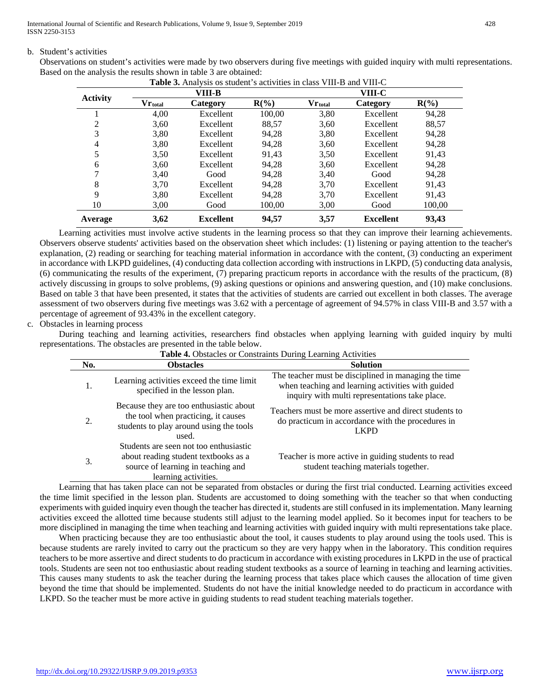International Journal of Scientific and Research Publications, Volume 9, Issue 9, September 2019 428 ISSN 2250-3153

#### b. Student's activities

Observations on student's activities were made by two observers during five meetings with guided inquiry with multi representations. Based on the analysis the results shown in table 3 are obtained:

|                 | VIII-B     |                  |         | VIII-C                |                  |         |  |
|-----------------|------------|------------------|---------|-----------------------|------------------|---------|--|
| <b>Activity</b> | $V$ rtotal | Category         | $R(\%)$ | $\bf{V}r_{\rm total}$ | Category         | $R(\%)$ |  |
|                 | 4,00       | Excellent        | 100,00  | 3,80                  | Excellent        | 94,28   |  |
| 2               | 3,60       | Excellent        | 88,57   | 3,60                  | Excellent        | 88,57   |  |
| 3               | 3.80       | <b>Excellent</b> | 94.28   | 3,80                  | Excellent        | 94,28   |  |
| 4               | 3,80       | Excellent        | 94.28   | 3,60                  | Excellent        | 94,28   |  |
| 5               | 3,50       | Excellent        | 91,43   | 3.50                  | Excellent        | 91,43   |  |
| 6               | 3,60       | <b>Excellent</b> | 94,28   | 3,60                  | Excellent        | 94,28   |  |
| 7               | 3.40       | Good             | 94.28   | 3.40                  | Good             | 94.28   |  |
| 8               | 3.70       | Excellent        | 94.28   | 3.70                  | Excellent        | 91,43   |  |
| 9               | 3,80       | Excellent        | 94,28   | 3.70                  | Excellent        | 91,43   |  |
| 10              | 3,00       | Good             | 100.00  | 3,00                  | Good             | 100.00  |  |
| Average         | 3,62       | <b>Excellent</b> | 94,57   | 3,57                  | <b>Excellent</b> | 93,43   |  |

**Table 3.** Analysis os student's activities in class VIII-B and VIII-C

Learning activities must involve active students in the learning process so that they can improve their learning achievements. Observers observe students' activities based on the observation sheet which includes: (1) listening or paying attention to the teacher's explanation, (2) reading or searching for teaching material information in accordance with the content, (3) conducting an experiment in accordance with LKPD guidelines, (4) conducting data collection according with instructions in LKPD, (5) conducting data analysis, (6) communicating the results of the experiment, (7) preparing practicum reports in accordance with the results of the practicum, (8) actively discussing in groups to solve problems, (9) asking questions or opinions and answering question, and (10) make conclusions. Based on table 3 that have been presented, it states that the activities of students are carried out excellent in both classes. The average assessment of two observers during five meetings was 3.62 with a percentage of agreement of 94.57% in class VIII-B and 3.57 with a percentage of agreement of 93.43% in the excellent category.

## c. Obstacles in learning process

During teaching and learning activities, researchers find obstacles when applying learning with guided inquiry by multi representations. The obstacles are presented in the table below.

| <b>Table 4.</b> Obstacles or Constraints During Learning Activities |                                                                                                                                              |                                                                                                                                                             |  |  |  |
|---------------------------------------------------------------------|----------------------------------------------------------------------------------------------------------------------------------------------|-------------------------------------------------------------------------------------------------------------------------------------------------------------|--|--|--|
| No.                                                                 | <b>Obstacles</b>                                                                                                                             | <b>Solution</b>                                                                                                                                             |  |  |  |
| 1.                                                                  | Learning activities exceed the time limit<br>specified in the lesson plan.                                                                   | The teacher must be disciplined in managing the time<br>when teaching and learning activities with guided<br>inquiry with multi representations take place. |  |  |  |
| 2.                                                                  | Because they are too enthusiastic about<br>the tool when practicing, it causes<br>students to play around using the tools<br>used.           | Teachers must be more assertive and direct students to<br>do practicum in accordance with the procedures in<br><b>LKPD</b>                                  |  |  |  |
| 3.                                                                  | Students are seen not too enthusiastic<br>about reading student textbooks as a<br>source of learning in teaching and<br>learning activities. | Teacher is more active in guiding students to read<br>student teaching materials together.                                                                  |  |  |  |

Learning that has taken place can not be separated from obstacles or during the first trial conducted. Learning activities exceed the time limit specified in the lesson plan. Students are accustomed to doing something with the teacher so that when conducting experiments with guided inquiry even though the teacher has directed it, students are still confused in its implementation. Many learning activities exceed the allotted time because students still adjust to the learning model applied. So it becomes input for teachers to be more disciplined in managing the time when teaching and learning activities with guided inquiry with multi representations take place.

When practicing because they are too enthusiastic about the tool, it causes students to play around using the tools used. This is because students are rarely invited to carry out the practicum so they are very happy when in the laboratory. This condition requires teachers to be more assertive and direct students to do practicum in accordance with existing procedures in LKPD in the use of practical tools. Students are seen not too enthusiastic about reading student textbooks as a source of learning in teaching and learning activities. This causes many students to ask the teacher during the learning process that takes place which causes the allocation of time given beyond the time that should be implemented. Students do not have the initial knowledge needed to do practicum in accordance with LKPD. So the teacher must be more active in guiding students to read student teaching materials together.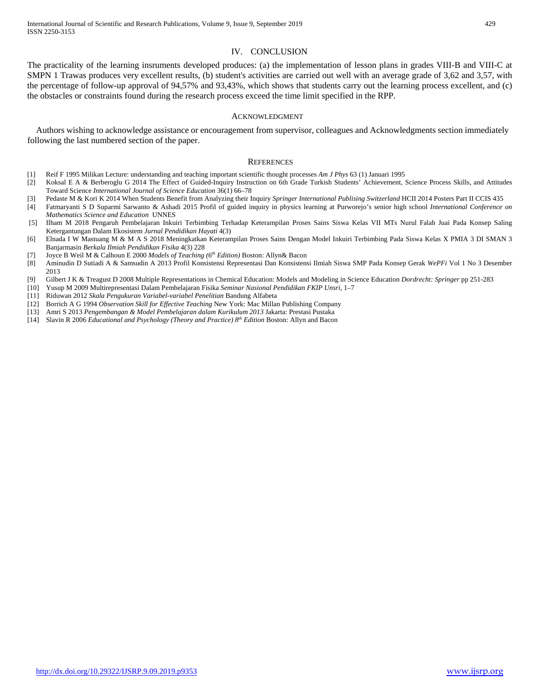#### IV. CONCLUSION

The practicality of the learning insruments developed produces: (a) the implementation of lesson plans in grades VIII-B and VIII-C at SMPN 1 Trawas produces very excellent results, (b) student's activities are carried out well with an average grade of 3,62 and 3,57, with the percentage of follow-up approval of 94,57% and 93,43%, which shows that students carry out the learning process excellent, and (c) the obstacles or constraints found during the research process exceed the time limit specified in the RPP.

#### ACKNOWLEDGMENT

Authors wishing to acknowledge assistance or encouragement from supervisor, colleagues and Acknowledgments section immediately following the last numbered section of the paper.

#### **REFERENCES**

- [1] Reif F 1995 Milikan Lecture: understanding and teaching important scientific thought processes *Am J Phys* 63 (1) Januari 1995
- [2] Koksal E A & Berberoglu G 2014 The Effect of Guided-Inquiry Instruction on 6th Grade Turkish Students' Achievement, Science Process Skills, and Attitudes Toward Science *International Journal of Science Education* 36(1) 66–78
- [3] Pedaste M & Kori K 2014 When Students Benefit from Analyzing their Inquiry *Springer International Publising Switzerland* HCII 2014 Posters Part II CCIS 435
- [4] Fatmaryanti S D Suparmi Sarwanto & Ashadi 2015 Profil of guided inquiry in physics learning at Purworejo's senior high school *International Conference on Mathematics Science and Education* UNNES
- [5] Ilham M 2018 Pengaruh Pembelajaran Inkuiri Terbimbing Terhadap Keterampilan Proses Sains Siswa Kelas VII MTs Nurul Falah Juai Pada Konsep Saling Ketergantungan Dalam Ekosistem *Jurnal Pendidikan Hayati* 4(3)
- [6] Elnada I W Mastuang M & M A S 2018 Meningkatkan Keterampilan Proses Sains Dengan Model Inkuiri Terbimbing Pada Siswa Kelas X PMIA 3 DI SMAN 3 Banjarmasin *Berkala Ilmiah Pendidikan Fisika* 4(3) 228
- [7] Joyce B Weil M & Calhoun E 2000 *Models of Teaching (6th Edition)* Boston: Allyn& Bacon
- [8] Aminudin D Sutiadi A & Samsudin A 2013 Profil Konsistensi Representasi Dan Konsistensi Ilmiah Siswa SMP Pada Konsep Gerak *WePFi* Vol 1 No 3 Desember 2013
- [9] Gilbert J K & Treagust D 2008 Multiple Representations in Chemical Education: Models and Modeling in Science Education *Dordrecht: Springer* pp 251-283
- [10] Yusup M 2009 Multirepresentasi Dalam Pembelajaran Fisika *Seminar Nasional Pendidikan FKIP Unsri*, 1–7
- [11] Riduwan 2012 *Skala Pengukuran Variabel-variabel Penelitian* Bandung Alfabeta
- [12] Borrich A G 1994 *Observation Skill for Effective Teaching* New York: Mac Millan Publishing Company
- [13] Amri S 2013 *Pengembangan & Model Pembelajaran dalam Kurikulum 2013* Jakarta: Prestasi Pustaka
- [14] Slavin R 2006 *Educational and Psychology (Theory and Practice) 8th Edition* Boston: Allyn and Bacon